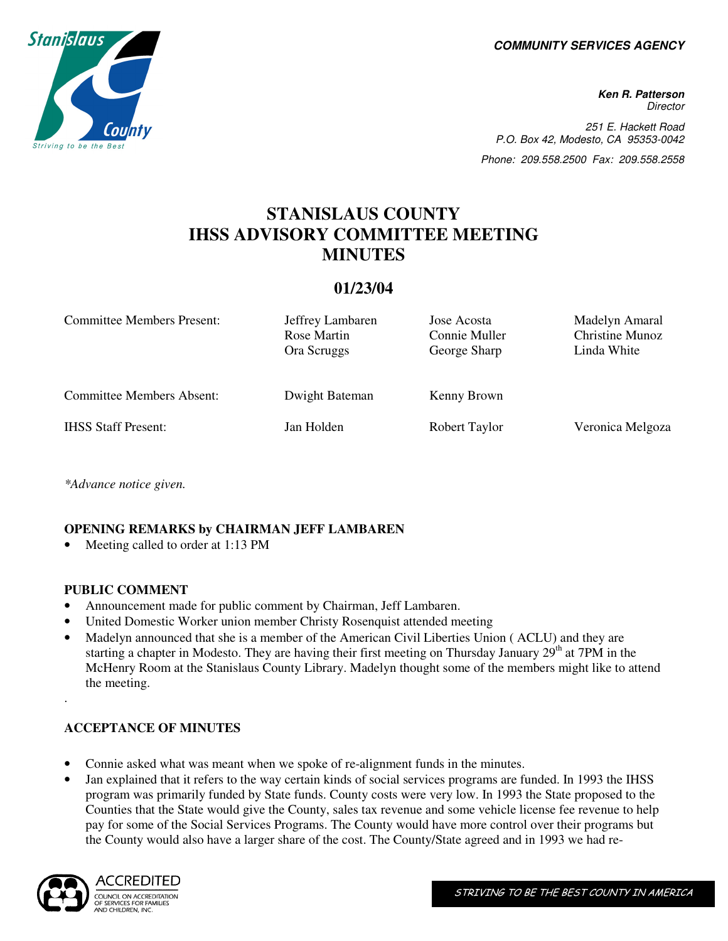**COMMUNITY SERVICES AGENCY** 



**Ken R. Patterson Director** 251 E. Hackett Road P.O. Box 42, Modesto, CA 95353-0042 Phone: 209.558.2500 Fax: 209.558.2558

# **STANISLAUS COUNTY IHSS ADVISORY COMMITTEE MEETING MINUTES**

# **01/23/04**

| <b>Committee Members Present:</b> | Jeffrey Lambaren<br>Rose Martin<br>Ora Scruggs | Jose Acosta<br>Connie Muller<br>George Sharp | Madelyn Amaral<br><b>Christine Munoz</b><br>Linda White |
|-----------------------------------|------------------------------------------------|----------------------------------------------|---------------------------------------------------------|
| <b>Committee Members Absent:</b>  | Dwight Bateman                                 | Kenny Brown                                  |                                                         |
| <b>IHSS Staff Present:</b>        | Jan Holden                                     | Robert Taylor                                | Veronica Melgoza                                        |

*\*Advance notice given.* 

## **OPENING REMARKS by CHAIRMAN JEFF LAMBAREN**

Meeting called to order at 1:13 PM

#### **PUBLIC COMMENT**

- Announcement made for public comment by Chairman, Jeff Lambaren.
- United Domestic Worker union member Christy Rosenquist attended meeting
- Madelyn announced that she is a member of the American Civil Liberties Union ( ACLU) and they are starting a chapter in Modesto. They are having their first meeting on Thursday January 29<sup>th</sup> at 7PM in the McHenry Room at the Stanislaus County Library. Madelyn thought some of the members might like to attend the meeting.

## **ACCEPTANCE OF MINUTES**

- Connie asked what was meant when we spoke of re-alignment funds in the minutes.
- Jan explained that it refers to the way certain kinds of social services programs are funded. In 1993 the IHSS program was primarily funded by State funds. County costs were very low. In 1993 the State proposed to the Counties that the State would give the County, sales tax revenue and some vehicle license fee revenue to help pay for some of the Social Services Programs. The County would have more control over their programs but the County would also have a larger share of the cost. The County/State agreed and in 1993 we had re-



.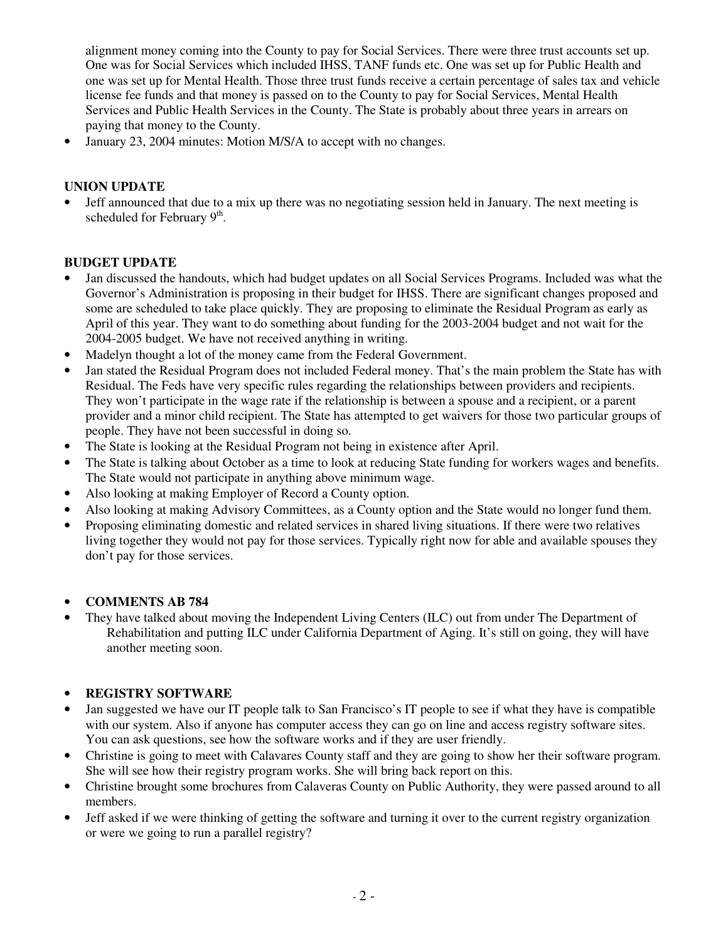alignment money coming into the County to pay for Social Services. There were three trust accounts set up. One was for Social Services which included IHSS, TANF funds etc. One was set up for Public Health and one was set up for Mental Health. Those three trust funds receive a certain percentage of sales tax and vehicle license fee funds and that money is passed on to the County to pay for Social Services, Mental Health Services and Public Health Services in the County. The State is probably about three years in arrears on paying that money to the County.

• January 23, 2004 minutes: Motion M/S/A to accept with no changes.

# **UNION UPDATE**

• Jeff announced that due to a mix up there was no negotiating session held in January. The next meeting is scheduled for February  $9<sup>th</sup>$ .

## **BUDGET UPDATE**

- Jan discussed the handouts, which had budget updates on all Social Services Programs. Included was what the Governor's Administration is proposing in their budget for IHSS. There are significant changes proposed and some are scheduled to take place quickly. They are proposing to eliminate the Residual Program as early as April of this year. They want to do something about funding for the 2003-2004 budget and not wait for the 2004-2005 budget. We have not received anything in writing.
- Madelyn thought a lot of the money came from the Federal Government.
- Jan stated the Residual Program does not included Federal money. That's the main problem the State has with Residual. The Feds have very specific rules regarding the relationships between providers and recipients. They won't participate in the wage rate if the relationship is between a spouse and a recipient, or a parent provider and a minor child recipient. The State has attempted to get waivers for those two particular groups of people. They have not been successful in doing so.
- The State is looking at the Residual Program not being in existence after April.
- The State is talking about October as a time to look at reducing State funding for workers wages and benefits. The State would not participate in anything above minimum wage.
- Also looking at making Employer of Record a County option.
- Also looking at making Advisory Committees, as a County option and the State would no longer fund them.
- Proposing eliminating domestic and related services in shared living situations. If there were two relatives living together they would not pay for those services. Typically right now for able and available spouses they don't pay for those services.

#### • **COMMENTS AB 784**

They have talked about moving the Independent Living Centers (ILC) out from under The Department of Rehabilitation and putting ILC under California Department of Aging. It's still on going, they will have another meeting soon.

#### • **REGISTRY SOFTWARE**

- Jan suggested we have our IT people talk to San Francisco's IT people to see if what they have is compatible with our system. Also if anyone has computer access they can go on line and access registry software sites. You can ask questions, see how the software works and if they are user friendly.
- Christine is going to meet with Calavares County staff and they are going to show her their software program. She will see how their registry program works. She will bring back report on this.
- Christine brought some brochures from Calaveras County on Public Authority, they were passed around to all members.
- Jeff asked if we were thinking of getting the software and turning it over to the current registry organization or were we going to run a parallel registry?